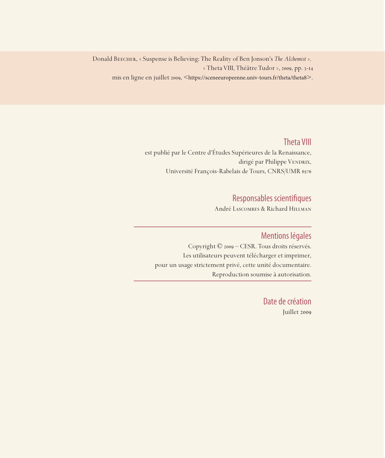Donald Beecher, « Suspense is Believing: The Reality of Ben Jonson's *The Alchemist »,* « Theta VIII, Théâtre Tudor », 2009, pp. 3-14 mis en ligne en juillet 2009, <https://sceneeuropeenne.univ-tours.fr/theta/theta8>.

Theta VIII

est publié par le Centre d'Études Supérieures de la Renaissance, dirigé par Philippe VENDRIX, Université François-Rabelais de Tours, CNRS/UMR 6576

## Responsables scientifiques

André Lascombes & Richard Hillman

### Mentions légales

Copyright © 2009 – CESR. Tous droits réservés. Les utilisateurs peuvent télécharger et imprimer, pour un usage strictement privé, cette unité documentaire. Reproduction soumise à autorisation.

> Date de création Juillet 2009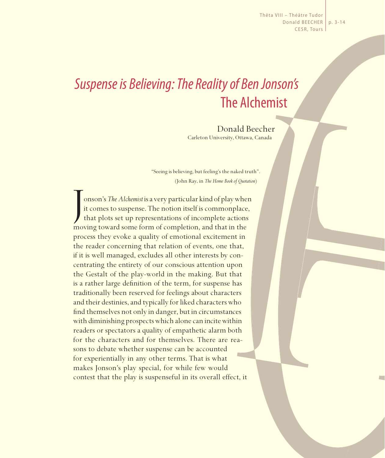Thêta VIII – Théâtre Tudor Donald BEECHER | p. 3-14 CESR, Tours

# *Suspense is Believing: The Reality of Ben Jonson's*  The Alchemist

Donald Beecher Carleton University, Ottawa, Canada

"Seeing is believing, but feeling's the naked truth". (John Ray, in *The Home Book of Quotation*)

J onson's *The Alchemist* is a very particular kind of play when it comes to suspense. The notion itself is commonplace, that plots set up representations of incomplete actions moving toward some form of completion, and that in the process they evoke a quality of emotional excitement in the reader concerning that relation of events, one that, if it is well managed, excludes all other interests by concentrating the entirety of our conscious attention upon the Gestalt of the play-world in the making. But that is a rather large definition of the term, for suspense has traditionally been reserved for feelings about characters and their destinies, and typically for liked characters who find themselves not only in danger, but in circumstances with diminishing prospects which alone can incite within readers or spectators a quality of empathetic alarm both for the characters and for themselves. There are reasons to debate whether suspense can be accounted for experientially in any other terms. That is what makes Jonson's play special, for while few would contest that the play is suspenseful in its overall effect, it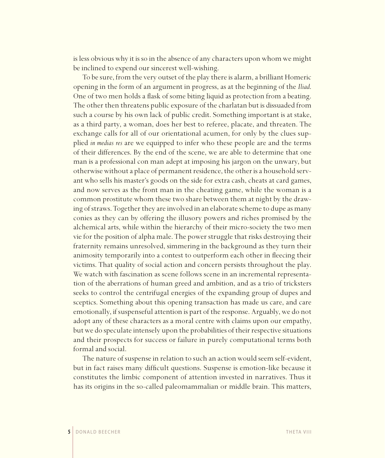is less obvious why it is so in the absence of any characters upon whom we might be inclined to expend our sincerest well-wishing.

To be sure, from the very outset of the play there is alarm, a brilliant Homeric opening in the form of an argument in progress, as at the beginning of the *Iliad*. One of two men holds a flask of some biting liquid as protection from a beating. The other then threatens public exposure of the charlatan but is dissuaded from such a course by his own lack of public credit. Something important is at stake, as a third party, a woman, does her best to referee, placate, and threaten. The exchange calls for all of our orientational acumen, for only by the clues supplied *in medias res* are we equipped to infer who these people are and the terms of their differences. By the end of the scene, we are able to determine that one man is a professional con man adept at imposing his jargon on the unwary, but otherwise without a place of permanent residence, the other is a household servant who sells his master's goods on the side for extra cash, cheats at card games, and now serves as the front man in the cheating game, while the woman is a common prostitute whom these two share between them at night by the drawing of straws. Together they are involved in an elaborate scheme to dupe as many conies as they can by offering the illusory powers and riches promised by the alchemical arts, while within the hierarchy of their micro-society the two men vie for the position of alpha male. The power struggle that risks destroying their fraternity remains unresolved, simmering in the background as they turn their animosity temporarily into a contest to outperform each other in fleecing their victims. That quality of social action and concern persists throughout the play. We watch with fascination as scene follows scene in an incremental representation of the aberrations of human greed and ambition, and as a trio of tricksters seeks to control the centrifugal energies of the expanding group of dupes and sceptics. Something about this opening transaction has made us care, and care emotionally, if suspenseful attention is part of the response. Arguably, we do not adopt any of these characters as a moral centre with claims upon our empathy, but we do speculate intensely upon the probabilities of their respective situations and their prospects for success or failure in purely computational terms both formal and social.

The nature of suspense in relation to such an action would seem self-evident, but in fact raises many difficult questions. Suspense is emotion-like because it constitutes the limbic component of attention invested in narratives. Thus it has its origins in the so-called paleomammalian or middle brain. This matters,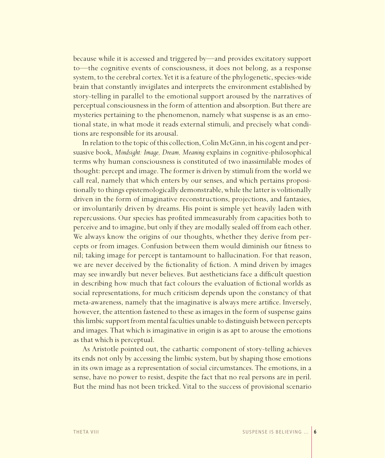because while it is accessed and triggered by—and provides excitatory support to—the cognitive events of consciousness, it does not belong, as a response system, to the cerebral cortex. Yet it is a feature of the phylogenetic, species-wide brain that constantly invigilates and interprets the environment established by story-telling in parallel to the emotional support aroused by the narratives of perceptual consciousness in the form of attention and absorption. But there are mysteries pertaining to the phenomenon, namely what suspense is as an emotional state, in what mode it reads external stimuli, and precisely what conditions are responsible for its arousal.

In relation to the topic of this collection, Colin McGinn, in his cogent and persuasive book, *Mindsight: Image, Dream, Meaning* explains in cognitive- philosophical terms why human consciousness is constituted of two inassimilable modes of thought: percept and image. The former is driven by stimuli from the world we call real, namely that which enters by our senses, and which pertains propositionally to things epistemologically demonstrable, while the latter is volitionally driven in the form of imaginative reconstructions, projections, and fantasies, or involuntarily driven by dreams. His point is simple yet heavily laden with repercussions. Our species has profited immeasurably from capacities both to perceive and to imagine, but only if they are modally sealed off from each other. We always know the origins of our thoughts, whether they derive from percepts or from images. Confusion between them would diminish our fitness to nil; taking image for percept is tantamount to hallucination. For that reason, we are never deceived by the fictionality of fiction. A mind driven by images may see inwardly but never believes. But aestheticians face a difficult question in describing how much that fact colours the evaluation of fictional worlds as social representations, for much criticism depends upon the constancy of that meta-awareness, namely that the imaginative is always mere artifice. Inversely, however, the attention fastened to these as images in the form of suspense gains this limbic support from mental faculties unable to distinguish between percepts and images. That which is imaginative in origin is as apt to arouse the emotions as that which is perceptual.

As Aristotle pointed out, the cathartic component of story-telling achieves its ends not only by accessing the limbic system, but by shaping those emotions in its own image as a representation of social circumstances. The emotions, in a sense, have no power to resist, despite the fact that no real persons are in peril. But the mind has not been tricked. Vital to the success of provisional scenario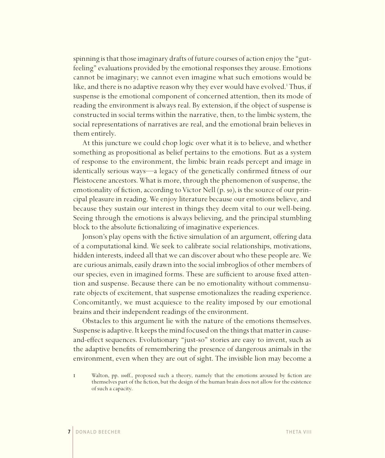spinning is that those imaginary drafts of future courses of action enjoy the "gutfeeling" evaluations provided by the emotional responses they arouse. Emotions cannot be imaginary; we cannot even imagine what such emotions would be like, and there is no adaptive reason why they ever would have evolved.<sup>1</sup> Thus, if suspense is the emotional component of concerned attention, then its mode of reading the environment is always real. By extension, if the object of suspense is constructed in social terms within the narrative, then, to the limbic system, the social representations of narratives are real, and the emotional brain believes in them entirely.

At this juncture we could chop logic over what it is to believe, and whether something as propositional as belief pertains to the emotions. But as a system of response to the environment, the limbic brain reads percept and image in identically serious ways—a legacy of the genetically confirmed fitness of our Pleistocene ancestors. What is more, through the phenomenon of suspense, the emotionality of fiction, according to Victor Nell (p. 50), is the source of our principal pleasure in reading. We enjoy literature because our emotions believe, and because they sustain our interest in things they deem vital to our well-being. Seeing through the emotions is always believing, and the principal stumbling block to the absolute fictionalizing of imaginative experiences.

Jonson's play opens with the fictive simulation of an argument, offering data of a computational kind. We seek to calibrate social relationships, motivations, hidden interests, indeed all that we can discover about who these people are. We are curious animals, easily drawn into the social imbroglios of other members of our species, even in imagined forms. These are sufficient to arouse fixed attention and suspense. Because there can be no emotionality without commensurate objects of excitement, that suspense emotionalizes the reading experience. Concomitantly, we must acquiesce to the reality imposed by our emotional brains and their independent readings of the environment.

Obstacles to this argument lie with the nature of the emotions themselves. Suspense is adaptive. It keeps the mind focused on the things that matter in causeand-effect sequences. Evolutionary "just-so" stories are easy to invent, such as the adaptive benefits of remembering the presence of dangerous animals in the environment, even when they are out of sight. The invisible lion may become a

1 Walton, pp. 100ff., proposed such a theory, namely that the emotions aroused by fiction are themselves part of the fiction, but the design of the human brain does not allow for the existence of such a capacity.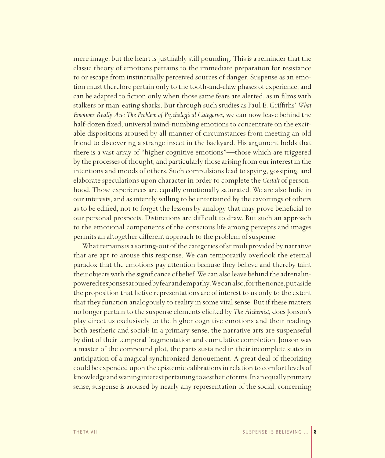mere image, but the heart is justifiably still pounding. This is a reminder that the classic theory of emotions pertains to the immediate preparation for resistance to or escape from instinctually perceived sources of danger. Suspense as an emotion must therefore pertain only to the tooth-and-claw phases of experience, and can be adapted to fiction only when those same fears are alerted, as in films with stalkers or man-eating sharks. But through such studies as Paul E. Griffi ths' *What Emotions Really Are: The Problem of Psychological Categories*, we can now leave behind the half-dozen fixed, universal mind-numbing emotions to concentrate on the excitable dispositions aroused by all manner of circumstances from meeting an old friend to discovering a strange insect in the backyard. His argument holds that there is a vast array of "higher cognitive emotions"—those which are triggered by the processes of thought, and particularly those arising from our interest in the intentions and moods of others. Such compulsions lead to spying, gossiping, and elaborate speculations upon character in order to complete the *Gestalt* of personhood. Those experiences are equally emotionally saturated. We are also ludic in our interests, and as intently willing to be entertained by the cavortings of others as to be edified, not to forget the lessons by analogy that may prove beneficial to our personal prospects. Distinctions are difficult to draw. But such an approach to the emotional components of the conscious life among percepts and images permits an altogether different approach to the problem of suspense.

What remains is a sorting-out of the categories of stimuli provided by narrative that are apt to arouse this response. We can temporarily overlook the eternal paradox that the emotions pay attention because they believe and thereby taint their objects with the significance of belief. We can also leave behind the adrenalinpowered responses aroused by fear and empathy. We can also, for the nonce, put aside the proposition that fictive representations are of interest to us only to the extent that they function analogously to reality in some vital sense. But if these matters no longer pertain to the suspense elements elicited by *The Alchemist*, does Jonson's play direct us exclusively to the higher cognitive emotions and their readings both aesthetic and social? In a primary sense, the narrative arts are suspenseful by dint of their temporal fragmentation and cumulative completion. Jonson was a master of the compound plot, the parts sustained in their incomplete states in anticipation of a magical synchronized denouement. A great deal of theorizing could be expended upon the epistemic calibrations in relation to comfort levels of knowledge and waning interest pertaining to aesthetic forms. In an equally primary sense, suspense is aroused by nearly any representation of the social, concerning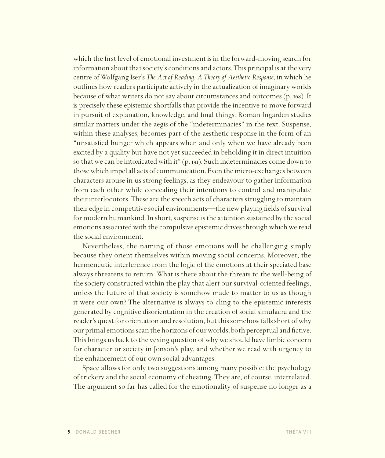which the first level of emotional investment is in the forward-moving search for information about that society's conditions and actors. This principal is at the very centre of Wolfgang Iser's *The Act of Reading: A Theory of Aesthetic Response*, in which he outlines how readers participate actively in the actualization of imaginary worlds because of what writers do not say about circumstances and outcomes (p. 168). It is precisely these epistemic shortfalls that provide the incentive to move forward in pursuit of explanation, knowledge, and final things. Roman Ingarden studies similar matters under the aegis of the "indeterminacies" in the text. Suspense, within these analyses, becomes part of the aesthetic response in the form of an "unsatisfied hunger which appears when and only when we have already been excited by a quality but have not yet succeeded in beholding it in direct intuition so that we can be intoxicated with it" (p. 191). Such indeterminacies come down to those which impel all acts of communication. Even the micro-exchanges between characters arouse in us strong feelings, as they endeavour to gather information from each other while concealing their intentions to control and manipulate their interlocutors. These are the speech acts of characters struggling to maintain their edge in competitive social environments—the new playing fields of survival for modern humankind. In short, suspense is the attention sustained by the social emotions associated with the compulsive epistemic drives through which we read the social environment.

Nevertheless, the naming of those emotions will be challenging simply because they orient themselves within moving social concerns. Moreover, the hermeneutic interference from the logic of the emotions at their speciated base always threatens to return. What is there about the threats to the well-being of the society constructed within the play that alert our survival-oriented feelings, unless the future of that society is somehow made to matter to us as though it were our own? The alternative is always to cling to the epistemic interests generated by cognitive disorientation in the creation of social simulacra and the reader's quest for orientation and resolution, but this somehow falls short of why our primal emotions scan the horizons of our worlds, both perceptual and fictive. This brings us back to the vexing question of why we should have limbic concern for character or society in Jonson's play, and whether we read with urgency to the enhancement of our own social advantages.

Space allows for only two suggestions among many possible: the psychology of trickery and the social economy of cheating. They are, of course, interrelated. The argument so far has called for the emotionality of suspense no longer as a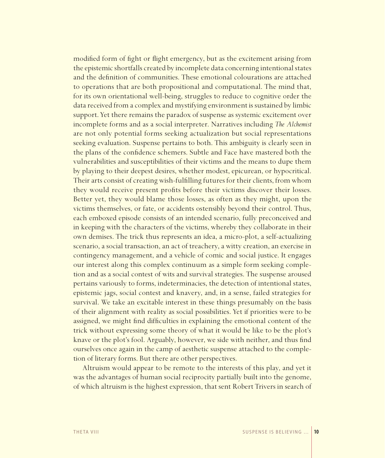modified form of fight or flight emergency, but as the excitement arising from the epistemic shortfalls created by incomplete data concerning intentional states and the definition of communities. These emotional colourations are attached to operations that are both propositional and computational. The mind that, for its own orientational well-being, struggles to reduce to cognitive order the data received from a complex and mystifying environment is sustained by limbic support. Yet there remains the paradox of suspense as systemic excitement over incomplete forms and as a social interpreter. Narratives including *The Alchemist* are not only potential forms seeking actualization but social representations seeking evaluation. Suspense pertains to both. This ambiguity is clearly seen in the plans of the confidence schemers. Subtle and Face have mastered both the vulnerabilities and susceptibilities of their victims and the means to dupe them by playing to their deepest desires, whether modest, epicurean, or hypocritical. Their arts consist of creating wish-fulfilling futures for their clients, from whom they would receive present profits before their victims discover their losses. Better yet, they would blame those losses, as often as they might, upon the victims themselves, or fate, or accidents ostensibly beyond their control. Thus, each emboxed episode consists of an intended scenario, fully preconceived and in keeping with the characters of the victims, whereby they collaborate in their own demises. The trick thus represents an idea, a micro-plot, a self-actualizing scenario, a social transaction, an act of treachery, a witty creation, an exercise in contingency management, and a vehicle of comic and social justice. It engages our interest along this complex continuum as a simple form seeking completion and as a social contest of wits and survival strategies. The suspense aroused pertains variously to forms, indeterminacies, the detection of intentional states, epistemic jags, social contest and knavery, and, in a sense, failed strategies for survival. We take an excitable interest in these things presumably on the basis of their alignment with reality as social possibilities. Yet if priorities were to be assigned, we might find difficulties in explaining the emotional content of the trick without expressing some theory of what it would be like to be the plot's knave or the plot's fool. Arguably, however, we side with neither, and thus find ourselves once again in the camp of aesthetic suspense attached to the completion of literary forms. But there are other perspectives.

Altruism would appear to be remote to the interests of this play, and yet it was the advantages of human social reciprocity partially built into the genome, of which altruism is the highest expression, that sent Robert Trivers in search of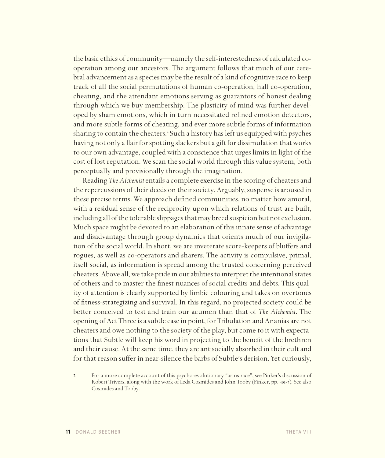the basic ethics of community—namely the self-interestedness of calculated cooperation among our ancestors. The argument follows that much of our cerebral advancement as a species may be the result of a kind of cognitive race to keep track of all the social permutations of human co-operation, half co-operation, cheating, and the attendant emotions serving as guarantors of honest dealing through which we buy membership. The plasticity of mind was further developed by sham emotions, which in turn necessitated refined emotion detectors, and more subtle forms of cheating, and ever more subtle forms of information sharing to contain the cheaters.<sup>2</sup> Such a history has left us equipped with psyches having not only a flair for spotting slackers but a gift for dissimulation that works to our own advantage, coupled with a conscience that urges limits in light of the cost of lost reputation. We scan the social world through this value system, both perceptually and provisionally through the imagination.

Reading *The Alchemist* entails a complete exercise in the scoring of cheaters and the repercussions of their deeds on their society. Arguably, suspense is aroused in these precise terms. We approach defined communities, no matter how amoral, with a residual sense of the reciprocity upon which relations of trust are built, including all of the tolerable slippages that may breed suspicion but not exclusion. Much space might be devoted to an elaboration of this innate sense of advantage and disadvantage through group dynamics that orients much of our invigilation of the social world. In short, we are inveterate score-keepers of bluffers and rogues, as well as co-operators and sharers. The activity is compulsive, primal, itself social, as information is spread among the trusted concerning perceived cheaters. Above all, we take pride in our abilities to interpret the intentional states of others and to master the finest nuances of social credits and debts. This quality of attention is clearly supported by limbic colouring and takes on overtones of fitness-strategizing and survival. In this regard, no projected society could be better conceived to test and train our acumen than that of *The Alchemist*. The opening of Act Three is a subtle case in point, for Tribulation and Ananias are not cheaters and owe nothing to the society of the play, but come to it with expectations that Subtle will keep his word in projecting to the benefit of the brethren and their cause. At the same time, they are antisocially absorbed in their cult and for that reason suffer in near-silence the barbs of Subtle's derision. Yet curiously,

2 For a more complete account of this psycho-evolutionary "arms race", see Pinker's discussion of Robert Trivers, along with the work of Leda Cosmides and John Tooby (Pinker, pp. 401-7). See also Cosmides and Tooby.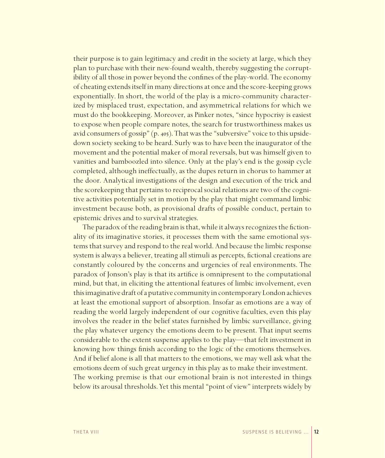their purpose is to gain legitimacy and credit in the society at large, which they plan to purchase with their new-found wealth, thereby suggesting the corruptibility of all those in power beyond the confines of the play-world. The economy of cheating extends itself in many directions at once and the score-keeping grows exponentially. In short, the world of the play is a micro-community characterized by misplaced trust, expectation, and asymmetrical relations for which we must do the bookkeeping. Moreover, as Pinker notes, "since hypocrisy is easiest to expose when people compare notes, the search for trustworthiness makes us avid consumers of gossip" (p. 405). That was the "subversive" voice to this upsidedown society seeking to be heard. Surly was to have been the inaugurator of the movement and the potential maker of moral reversals, but was himself given to vanities and bamboozled into silence. Only at the play's end is the gossip cycle completed, although ineffectually, as the dupes return in chorus to hammer at the door. Analytical investigations of the design and execution of the trick and the scorekeeping that pertains to reciprocal social relations are two of the cognitive activities potentially set in motion by the play that might command limbic investment because both, as provisional drafts of possible conduct, pertain to epistemic drives and to survival strategies.

The paradox of the reading brain is that, while it always recognizes the fictionality of its imaginative stories, it processes them with the same emotional systems that survey and respond to the real world. And because the limbic response system is always a believer, treating all stimuli as percepts, fictional creations are constantly coloured by the concerns and urgencies of real environments. The paradox of Jonson's play is that its artifice is omnipresent to the computational mind, but that, in eliciting the attentional features of limbic involvement, even this imaginative draft of a putative community in contemporary London achieves at least the emotional support of absorption. Insofar as emotions are a way of reading the world largely independent of our cognitive faculties, even this play involves the reader in the belief states furnished by limbic surveillance, giving the play whatever urgency the emotions deem to be present. That input seems considerable to the extent suspense applies to the play—that felt investment in knowing how things finish according to the logic of the emotions themselves. And if belief alone is all that matters to the emotions, we may well ask what the emotions deem of such great urgency in this play as to make their investment. The working premise is that our emotional brain is not interested in things below its arousal thresholds. Yet this mental "point of view" interprets widely by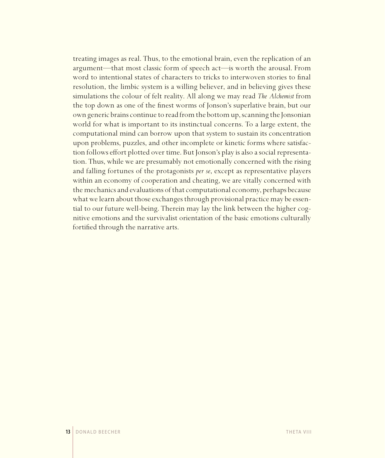treating images as real. Thus, to the emotional brain, even the replication of an argument—that most classic form of speech act—is worth the arousal. From word to intentional states of characters to tricks to interwoven stories to final resolution, the limbic system is a willing believer, and in believing gives these simulations the colour of felt reality. All along we may read *The Alchemist* from the top down as one of the finest worms of Jonson's superlative brain, but our own generic brains continue to read from the bottom up, scanning the Jonsonian world for what is important to its instinctual concerns. To a large extent, the computational mind can borrow upon that system to sustain its concentration upon problems, puzzles, and other incomplete or kinetic forms where satisfaction follows effort plotted over time. But Jonson's play is also a social representation. Thus, while we are presumably not emotionally concerned with the rising and falling fortunes of the protagonists *per se*, except as representative players within an economy of cooperation and cheating, we are vitally concerned with the mechanics and evaluations of that computational economy, perhaps because what we learn about those exchanges through provisional practice may be essential to our future well-being. Therein may lay the link between the higher cognitive emotions and the survivalist orientation of the basic emotions culturally fortified through the narrative arts.